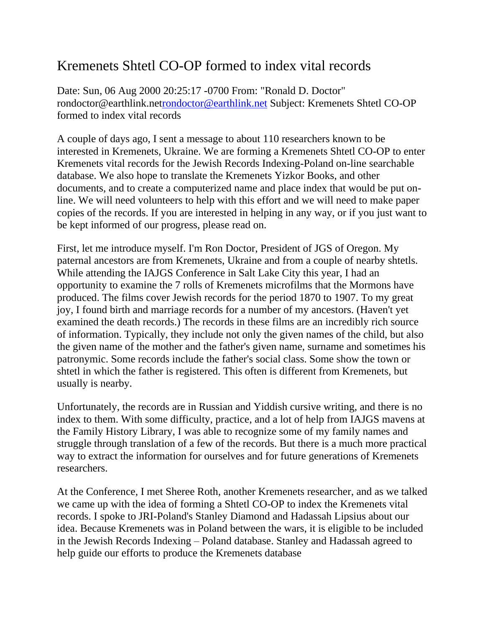## Kremenets Shtetl CO-OP formed to index vital records

Date: Sun, 06 Aug 2000 20:25:17 -0700 From: "Ronald D. Doctor" rondoctor@earthlink.ne[trondoctor@earthlink.net](mailto:rondoctor@earthlink.net) Subject: Kremenets Shtetl CO-OP formed to index vital records

A couple of days ago, I sent a message to about 110 researchers known to be interested in Kremenets, Ukraine. We are forming a Kremenets Shtetl CO-OP to enter Kremenets vital records for the Jewish Records Indexing-Poland on-line searchable database. We also hope to translate the Kremenets Yizkor Books, and other documents, and to create a computerized name and place index that would be put online. We will need volunteers to help with this effort and we will need to make paper copies of the records. If you are interested in helping in any way, or if you just want to be kept informed of our progress, please read on.

First, let me introduce myself. I'm Ron Doctor, President of JGS of Oregon. My paternal ancestors are from Kremenets, Ukraine and from a couple of nearby shtetls. While attending the IAJGS Conference in Salt Lake City this year, I had an opportunity to examine the 7 rolls of Kremenets microfilms that the Mormons have produced. The films cover Jewish records for the period 1870 to 1907. To my great joy, I found birth and marriage records for a number of my ancestors. (Haven't yet examined the death records.) The records in these films are an incredibly rich source of information. Typically, they include not only the given names of the child, but also the given name of the mother and the father's given name, surname and sometimes his patronymic. Some records include the father's social class. Some show the town or shtetl in which the father is registered. This often is different from Kremenets, but usually is nearby.

Unfortunately, the records are in Russian and Yiddish cursive writing, and there is no index to them. With some difficulty, practice, and a lot of help from IAJGS mavens at the Family History Library, I was able to recognize some of my family names and struggle through translation of a few of the records. But there is a much more practical way to extract the information for ourselves and for future generations of Kremenets researchers.

At the Conference, I met Sheree Roth, another Kremenets researcher, and as we talked we came up with the idea of forming a Shtetl CO-OP to index the Kremenets vital records. I spoke to JRI-Poland's Stanley Diamond and Hadassah Lipsius about our idea. Because Kremenets was in Poland between the wars, it is eligible to be included in the Jewish Records Indexing – Poland database. Stanley and Hadassah agreed to help guide our efforts to produce the Kremenets database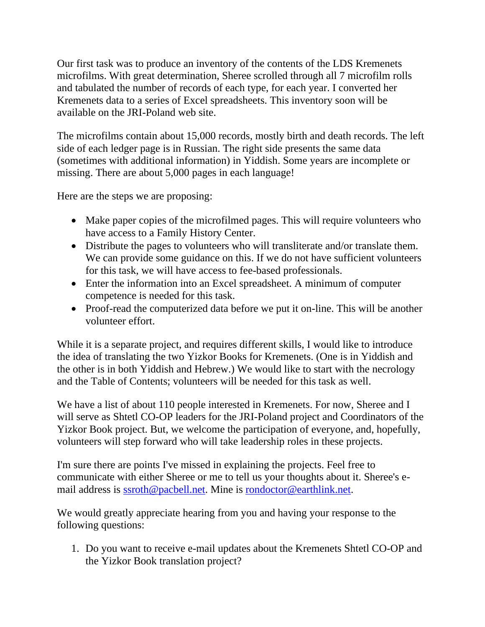Our first task was to produce an inventory of the contents of the LDS Kremenets microfilms. With great determination, Sheree scrolled through all 7 microfilm rolls and tabulated the number of records of each type, for each year. I converted her Kremenets data to a series of Excel spreadsheets. This inventory soon will be available on the JRI-Poland web site.

The microfilms contain about 15,000 records, mostly birth and death records. The left side of each ledger page is in Russian. The right side presents the same data (sometimes with additional information) in Yiddish. Some years are incomplete or missing. There are about 5,000 pages in each language!

Here are the steps we are proposing:

- Make paper copies of the microfilmed pages. This will require volunteers who have access to a Family History Center.
- Distribute the pages to volunteers who will transliterate and/or translate them. We can provide some guidance on this. If we do not have sufficient volunteers for this task, we will have access to fee-based professionals.
- Enter the information into an Excel spreadsheet. A minimum of computer competence is needed for this task.
- Proof-read the computerized data before we put it on-line. This will be another volunteer effort.

While it is a separate project, and requires different skills, I would like to introduce the idea of translating the two Yizkor Books for Kremenets. (One is in Yiddish and the other is in both Yiddish and Hebrew.) We would like to start with the necrology and the Table of Contents; volunteers will be needed for this task as well.

We have a list of about 110 people interested in Kremenets. For now, Sheree and I will serve as Shtetl CO-OP leaders for the JRI-Poland project and Coordinators of the Yizkor Book project. But, we welcome the participation of everyone, and, hopefully, volunteers will step forward who will take leadership roles in these projects.

I'm sure there are points I've missed in explaining the projects. Feel free to communicate with either Sheree or me to tell us your thoughts about it. Sheree's email address is [ssroth@pacbell.net.](mailto:ssroth@pacbell.net) Mine is [rondoctor@earthlink.net.](mailto:rondoctor@earthlink.net)

We would greatly appreciate hearing from you and having your response to the following questions:

1. Do you want to receive e-mail updates about the Kremenets Shtetl CO-OP and the Yizkor Book translation project?